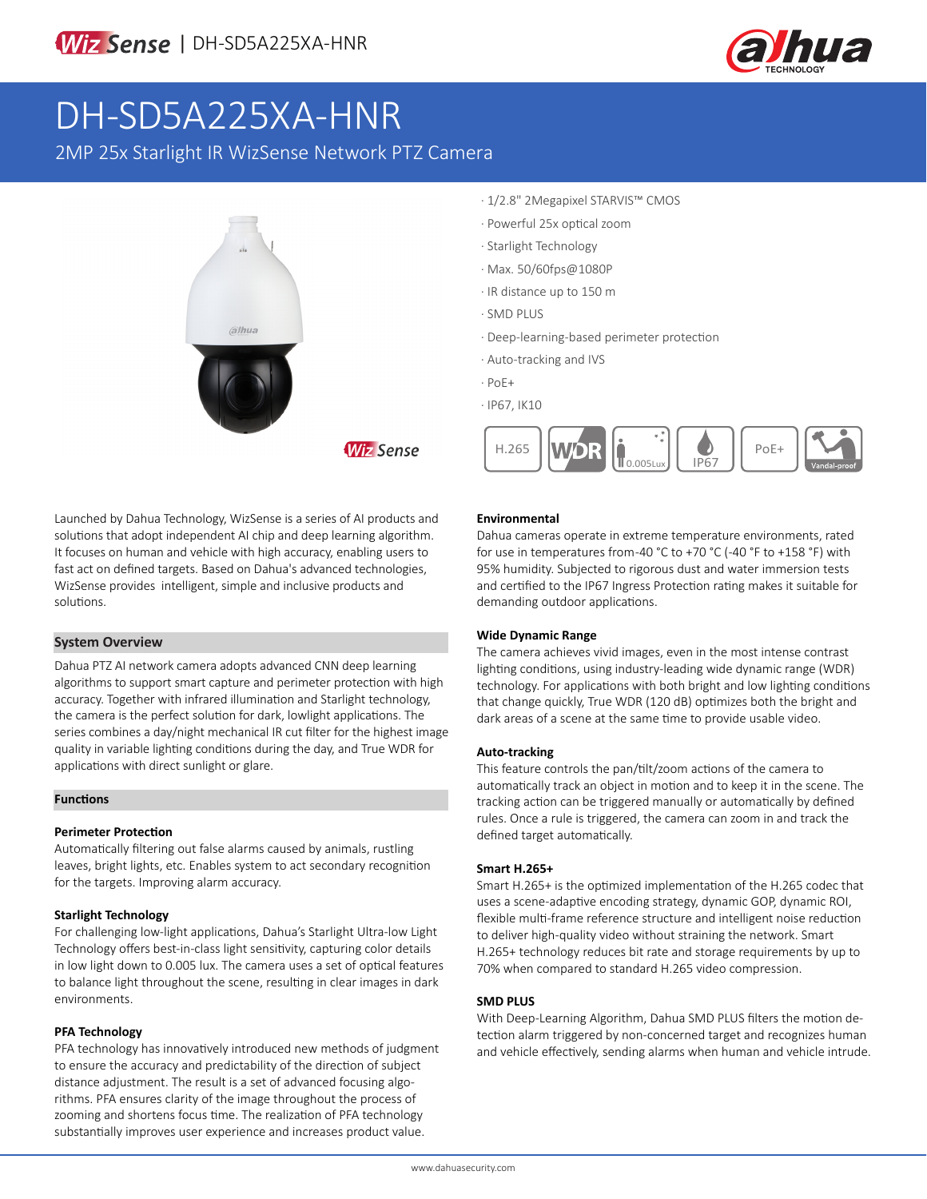

# DH-SD5A225XA-HNR

2MP 25x Starlight IR WizSense Network PTZ Camera



- · 1/2.8" 2Megapixel STARVIS™ CMOS
- · Powerful 25x optical zoom
- · Starlight Technology
- · Max. 50/60fps@1080P
- · IR distance up to 150 m
- · SMD PLUS
- · Deep-learning-based perimeter protection
- · Auto-tracking and IVS
- · PoE+

**Wiz Sense** 

· IP67, IK10



Launched by Dahua Technology, WizSense is a series of AI products and solutions that adopt independent AI chip and deep learning algorithm. It focuses on human and vehicle with high accuracy, enabling users to fast act on defined targets. Based on Dahua's advanced technologies, WizSense provides intelligent, simple and inclusive products and solutions.

### **System Overview**

Dahua PTZ AI network camera adopts advanced CNN deep learning algorithms to support smart capture and perimeter protection with high accuracy. Together with infrared illumination and Starlight technology, the camera is the perfect solution for dark, lowlight applications. The series combines a day/night mechanical IR cut filter for the highest image quality in variable lighting conditions during the day, and True WDR for applications with direct sunlight or glare.

#### **Functions**

#### **Perimeter Protection**

Automatically filtering out false alarms caused by animals, rustling leaves, bright lights, etc. Enables system to act secondary recognition for the targets. Improving alarm accuracy.

#### **Starlight Technology**

For challenging low-light applications, Dahua's Starlight Ultra-low Light Technology offers best-in-class light sensitivity, capturing color details in low light down to 0.005 lux. The camera uses a set of optical features to balance light throughout the scene, resulting in clear images in dark environments.

#### **PFA Technology**

PFA technology has innovatively introduced new methods of judgment to ensure the accuracy and predictability of the direction of subject distance adjustment. The result is a set of advanced focusing algorithms. PFA ensures clarity of the image throughout the process of zooming and shortens focus time. The realization of PFA technology substantially improves user experience and increases product value.

#### **Environmental**

Dahua cameras operate in extreme temperature environments, rated for use in temperatures from -40 °C to +70 °C (-40 °F to +158 °F) with 95% humidity. Subjected to rigorous dust and water immersion tests and certified to the IP67 Ingress Protection rating makes it suitable for demanding outdoor applications.

#### **Wide Dynamic Range**

The camera achieves vivid images, even in the most intense contrast lighting conditions, using industry-leading wide dynamic range (WDR) technology. For applications with both bright and low lighting conditions that change quickly, True WDR (120 dB) optimizes both the bright and dark areas of a scene at the same time to provide usable video.

#### **Auto-tracking**

This feature controls the pan/tilt/zoom actions of the camera to automatically track an object in motion and to keep it in the scene. The tracking action can be triggered manually or automatically by defined rules. Once a rule is triggered, the camera can zoom in and track the defined target automatically.

#### **Smart H.265+**

Smart H.265+ is the optimized implementation of the H.265 codec that uses a scene-adaptive encoding strategy, dynamic GOP, dynamic ROI, flexible multi-frame reference structure and intelligent noise reduction to deliver high-quality video without straining the network. Smart H.265+ technology reduces bit rate and storage requirements by up to 70% when compared to standard H.265 video compression.

#### **SMD PLUS**

With Deep-Learning Algorithm, Dahua SMD PLUS filters the motion detection alarm triggered by non-concerned target and recognizes human and vehicle effectively, sending alarms when human and vehicle intrude.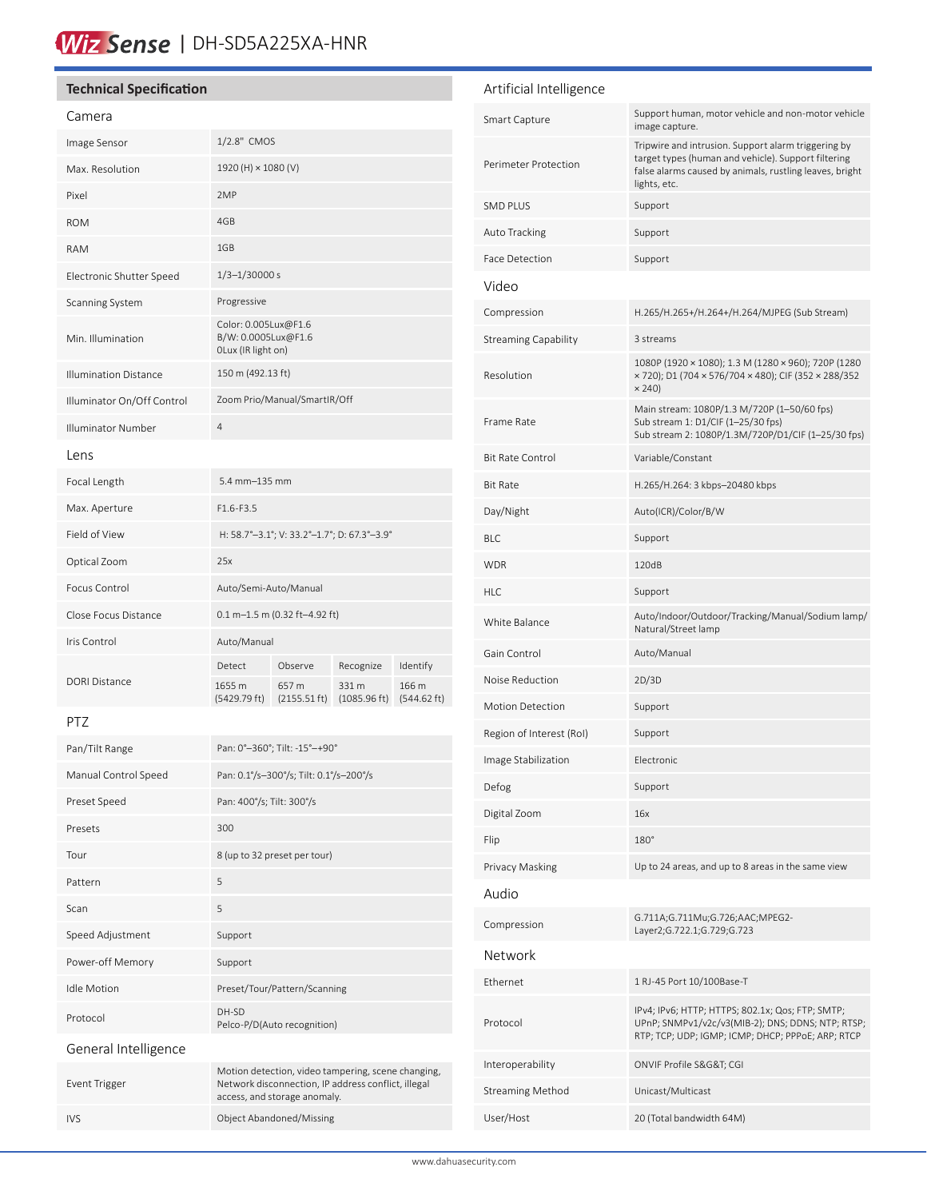# Wiz Sense | DH-SD5A225XA-HNR

| <b>Technical Specification</b> |  |  |  |
|--------------------------------|--|--|--|
|--------------------------------|--|--|--|

#### Camera

| Camera                       |                                                                   |                       |                       |                      |
|------------------------------|-------------------------------------------------------------------|-----------------------|-----------------------|----------------------|
| Image Sensor                 | 1/2.8" CMOS                                                       |                       |                       |                      |
| Max. Resolution              |                                                                   | 1920 (H) × 1080 (V)   |                       |                      |
| Pixel                        | 2MP                                                               |                       |                       |                      |
| <b>ROM</b>                   | 4GB                                                               |                       |                       |                      |
| <b>RAM</b>                   | 1GB                                                               |                       |                       |                      |
| Electronic Shutter Speed     | $1/3 - 1/30000 s$                                                 |                       |                       |                      |
| Scanning System              | Progressive                                                       |                       |                       |                      |
| Min. Illumination            | Color: 0.005Lux@F1.6<br>B/W: 0.0005Lux@F1.6<br>OLux (IR light on) |                       |                       |                      |
| <b>Illumination Distance</b> | 150 m (492.13 ft)                                                 |                       |                       |                      |
| Illuminator On/Off Control   | Zoom Prio/Manual/SmartIR/Off                                      |                       |                       |                      |
| Illuminator Number           | $\overline{4}$                                                    |                       |                       |                      |
| l ens                        |                                                                   |                       |                       |                      |
| Focal Length                 | $5.4$ mm $-135$ mm                                                |                       |                       |                      |
| Max. Aperture                | $F1.6-F3.5$                                                       |                       |                       |                      |
| Field of View                | H: 58.7°-3.1°; V: 33.2°-1.7°; D: 67.3°-3.9°                       |                       |                       |                      |
| Optical Zoom                 | 25x                                                               |                       |                       |                      |
| Focus Control                | Auto/Semi-Auto/Manual                                             |                       |                       |                      |
| Close Focus Distance         | $0.1$ m-1.5 m (0.32 ft-4.92 ft)                                   |                       |                       |                      |
| Iris Control                 | Auto/Manual                                                       |                       |                       |                      |
|                              | Detect                                                            | Observe               | Recognize             | Identify             |
| <b>DORI Distance</b>         | 1655 m<br>(5429.79 ft)                                            | 657 m<br>(2155.51 ft) | 331 m<br>(1085.96 ft) | 166 m<br>(544.62 ft) |
| PTZ                          |                                                                   |                       |                       |                      |
| Pan/Tilt Range               | Pan: 0°-360°; Tilt: -15°-+90°                                     |                       |                       |                      |

| Manual Control Speed | Pan: 0.1°/s-300°/s; Tilt: 0.1°/s-200°/s                                                                                                   |
|----------------------|-------------------------------------------------------------------------------------------------------------------------------------------|
| Preset Speed         | Pan: 400°/s; Tilt: 300°/s                                                                                                                 |
| Presets              | 300                                                                                                                                       |
| Tour                 | 8 (up to 32 preset per tour)                                                                                                              |
| Pattern              | 5                                                                                                                                         |
| Scan                 | 5                                                                                                                                         |
| Speed Adjustment     | Support                                                                                                                                   |
| Power-off Memory     | Support                                                                                                                                   |
| <b>Idle Motion</b>   | Preset/Tour/Pattern/Scanning                                                                                                              |
| Protocol             | DH-SD<br>Pelco-P/D(Auto recognition)                                                                                                      |
| General Intelligence |                                                                                                                                           |
| Event Trigger        | Motion detection, video tampering, scene changing,<br>Network disconnection, IP address conflict, illegal<br>access, and storage anomaly. |
| IV <sub>S</sub>      | <b>Object Abandoned/Missing</b>                                                                                                           |

## Artificial Intelligence

| Smart Capture               | Support human, motor vehicle and non-motor vehicle<br>image capture.                                                                                                                  |
|-----------------------------|---------------------------------------------------------------------------------------------------------------------------------------------------------------------------------------|
| Perimeter Protection        | Tripwire and intrusion. Support alarm triggering by<br>target types (human and vehicle). Support filtering<br>false alarms caused by animals, rustling leaves, bright<br>lights, etc. |
| <b>SMD PLUS</b>             | Support                                                                                                                                                                               |
| Auto Tracking               | Support                                                                                                                                                                               |
| Face Detection              | Support                                                                                                                                                                               |
| Video                       |                                                                                                                                                                                       |
| Compression                 | H.265/H.265+/H.264+/H.264/MJPEG (Sub Stream)                                                                                                                                          |
| <b>Streaming Capability</b> | 3 streams                                                                                                                                                                             |
| Resolution                  | 1080P (1920 × 1080); 1.3 M (1280 × 960); 720P (1280<br>× 720); D1 (704 × 576/704 × 480); CIF (352 × 288/352<br>$\times$ 240)                                                          |
| Frame Rate                  | Main stream: 1080P/1.3 M/720P (1-50/60 fps)<br>Sub stream 1: D1/CIF (1-25/30 fps)<br>Sub stream 2: 1080P/1.3M/720P/D1/CIF (1-25/30 fps)                                               |
| <b>Bit Rate Control</b>     | Variable/Constant                                                                                                                                                                     |
| <b>Bit Rate</b>             | H.265/H.264: 3 kbps–20480 kbps                                                                                                                                                        |
| Day/Night                   | Auto(ICR)/Color/B/W                                                                                                                                                                   |
| BLC                         | Support                                                                                                                                                                               |
| <b>WDR</b>                  | 120dB                                                                                                                                                                                 |
| HLC                         | Support                                                                                                                                                                               |
| White Balance               | Auto/Indoor/Outdoor/Tracking/Manual/Sodium lamp/<br>Natural/Street lamp                                                                                                               |
| Gain Control                | Auto/Manual                                                                                                                                                                           |
| Noise Reduction             | 2D/3D                                                                                                                                                                                 |
| <b>Motion Detection</b>     | Support                                                                                                                                                                               |
| Region of Interest (RoI)    | Support                                                                                                                                                                               |
| Image Stabilization         | Electronic                                                                                                                                                                            |
| Defog                       | Support                                                                                                                                                                               |
| Digital Zoom                | 16x                                                                                                                                                                                   |
| Flip                        | 180°                                                                                                                                                                                  |
| Privacy Masking             | Up to 24 areas, and up to 8 areas in the same view                                                                                                                                    |
| Audio                       |                                                                                                                                                                                       |
| Compression                 | G.711A;G.711Mu;G.726;AAC;MPEG2-<br>Layer2;G.722.1;G.729;G.723                                                                                                                         |
| Network                     |                                                                                                                                                                                       |
| Ethernet                    | 1 RJ-45 Port 10/100Base-T                                                                                                                                                             |
| Protocol                    | IPv4; IPv6; HTTP; HTTPS; 802.1x; Qos; FTP; SMTP;<br>UPnP; SNMPv1/v2c/v3(MIB-2); DNS; DDNS; NTP; RTSP;<br>RTP; TCP; UDP; IGMP; ICMP; DHCP; PPPoE; ARP; RTCP                            |
| Interoperability            | ONVIF Profile S&G&T CGI                                                                                                                                                               |
| Streaming Method            | Unicast/Multicast                                                                                                                                                                     |
| User/Host                   | 20 (Total bandwidth 64M)                                                                                                                                                              |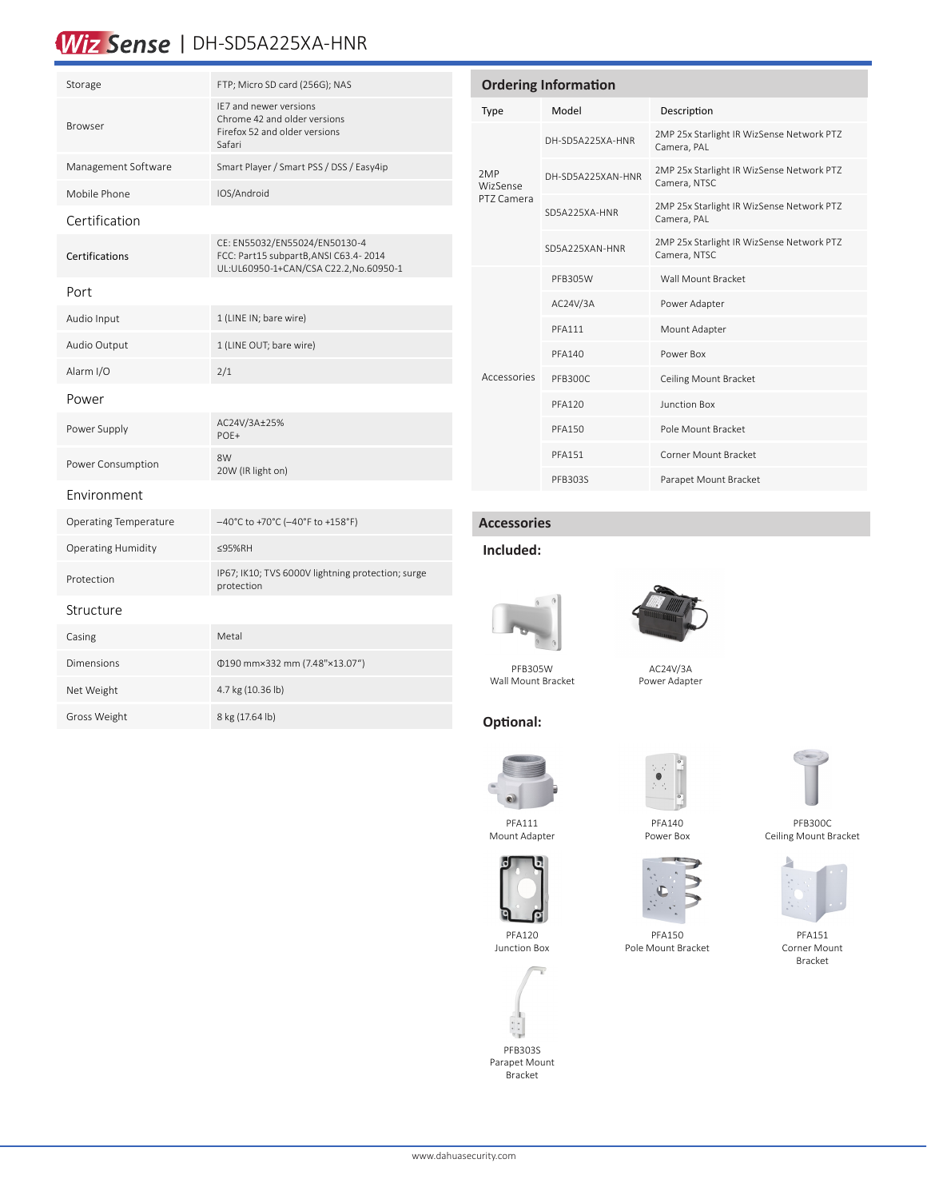# Wiz Sense | DH-SD5A225XA-HNR

| Storage                   | FTP; Micro SD card (256G); NAS                                                                                  |
|---------------------------|-----------------------------------------------------------------------------------------------------------------|
| <b>Browser</b>            | IE7 and newer versions<br>Chrome 42 and older versions<br>Firefox 52 and older versions<br>Safari               |
| Management Software       | Smart Player / Smart PSS / DSS / Easy4ip                                                                        |
| Mobile Phone              | IOS/Android                                                                                                     |
| Certification             |                                                                                                                 |
| Certifications            | CE: EN55032/EN55024/EN50130-4<br>FCC: Part15 subpartB, ANSI C63.4-2014<br>UL:UL60950-1+CAN/CSA C22.2,No.60950-1 |
| Port                      |                                                                                                                 |
| Audio Input               | 1 (LINE IN; bare wire)                                                                                          |
| Audio Output              | 1 (LINE OUT; bare wire)                                                                                         |
| Alarm I/O                 | 2/1                                                                                                             |
| Power                     |                                                                                                                 |
| Power Supply              | AC24V/3A±25%<br>POE+                                                                                            |
| Power Consumption         | 8W<br>20W (IR light on)                                                                                         |
| Environment               |                                                                                                                 |
| Operating Temperature     | -40°C to +70°C (-40°F to +158°F)                                                                                |
| <b>Operating Humidity</b> | ≤95%RH                                                                                                          |
| Protection                | IP67; IK10; TVS 6000V lightning protection; surge<br>protection                                                 |
| Structure                 |                                                                                                                 |
| Casing                    | Metal                                                                                                           |
| Dimensions                | 0190 mm×332 mm (7.48"×13.07")                                                                                   |
| Net Weight                | 4.7 kg (10.36 lb)                                                                                               |
| Gross Weight              | 8 kg (17.64 lb)                                                                                                 |

| <b>Ordering Information</b>   |                   |                                                           |  |
|-------------------------------|-------------------|-----------------------------------------------------------|--|
| Type                          | Model             | Description                                               |  |
| 2MP<br>WizSense<br>PT7 Camera | DH-SD5A225XA-HNR  | 2MP 25x Starlight IR WizSense Network PTZ<br>Camera, PAL  |  |
|                               | DH-SD5A225XAN-HNR | 2MP 25x Starlight IR WizSense Network PTZ<br>Camera, NTSC |  |
|                               | SD5A225XA-HNR     | 2MP 25x Starlight IR WizSense Network PTZ<br>Camera, PAL  |  |
|                               | SD5A225XAN-HNR    | 2MP 25x Starlight IR WizSense Network PTZ<br>Camera, NTSC |  |
|                               | PFB305W           | Wall Mount Bracket                                        |  |
|                               | AC24V/3A          | Power Adapter                                             |  |
|                               | <b>PFA111</b>     | Mount Adapter                                             |  |
|                               | <b>PFA140</b>     | Power Box                                                 |  |
| Accessories                   | PFB300C           | Ceiling Mount Bracket                                     |  |
|                               | PFA120            | Junction Box                                              |  |
|                               | <b>PFA150</b>     | Pole Mount Bracket                                        |  |
|                               | <b>PFA151</b>     | Corner Mount Bracket                                      |  |
|                               | PFB303S           | Parapet Mount Bracket                                     |  |

#### **Accessories**

### **Included:**

**Optional:**





PFB305W Wall Mount Bracket

AC24V/3A Power Adapter

PFB300C Ceiling Mount Bracket



PFA151 Corner Mount Bracket



PFA111

PFA120 Junction Box



PFB303S Parapet Mount Bracket

www.dahuasecurity.com











Pole Mount Bracket